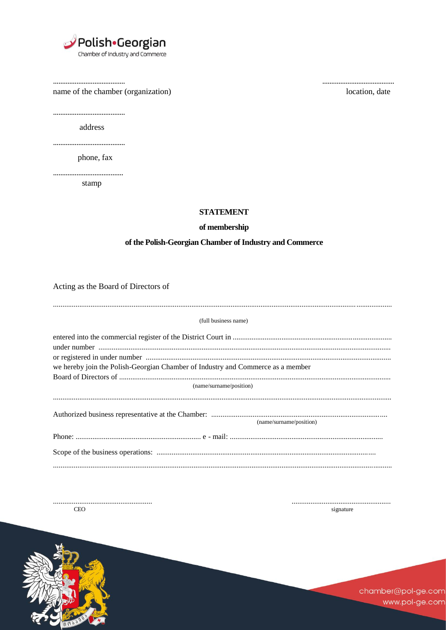

name of the chamber (organization)

location, date

address

phone, fax

stamp

**STATEMENT** 

## of membership

## of the Polish-Georgian Chamber of Industry and Commerce

Acting as the Board of Directors of

| (full business name)                                                            |
|---------------------------------------------------------------------------------|
|                                                                                 |
|                                                                                 |
| we hereby join the Polish-Georgian Chamber of Industry and Commerce as a member |
| (name/surname/position)                                                         |
|                                                                                 |
| (name/surname/position)                                                         |
|                                                                                 |
|                                                                                 |
|                                                                                 |

CEO

signature



chamber@pol-ge.com www.pol-ge.com